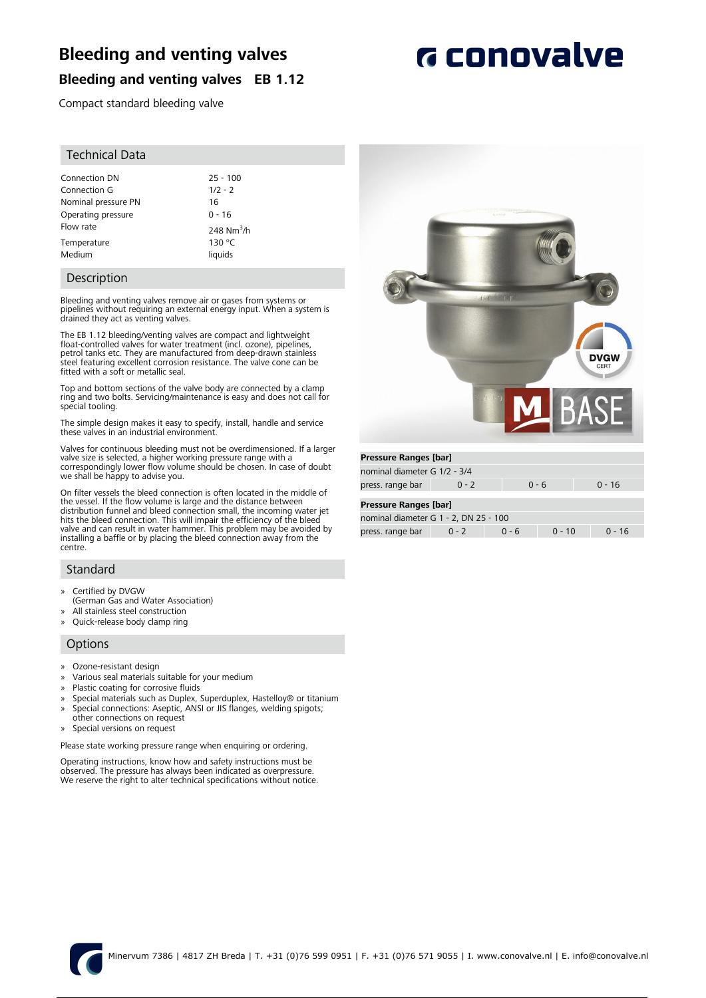## **Bleeding and venting valves**

# **G** conovalve

### **Bleeding and venting valves EB 1.12**

Compact standard bleeding valve

#### Technical Data

| Connection DN       | $25 - 100$   |
|---------------------|--------------|
| Connection G        | $1/2 - 2$    |
| Nominal pressure PN | 16           |
| Operating pressure  | $0 - 16$     |
| Flow rate           | 248 $Nm^3/h$ |
| Temperature         | 130 °C       |
| Medium              | liquids      |

#### Description

Bleeding and venting valves remove air or gases from systems or pipelines without requiring an external energy input. When a system is drained they act as venting valves.

The EB 1.12 bleeding/venting valves are compact and lightweight float-controlled valves for water treatment (incl. ozone), pipelines, petrol tanks etc. They are manufactured from deep-drawn stainless steel featuring excellent corrosion resistance. The valve cone can be fitted with a soft or metallic seal.

Top and bottom sections of the valve body are connected by a clamp ring and two bolts. Servicing/maintenance is easy and does not call for special tooling.

The simple design makes it easy to specify, install, handle and service these valves in an industrial environment.

Valves for continuous bleeding must not be overdimensioned. If a larger valve size is selected, a higher working pressure range with a correspondingly lower flow volume should be chosen. In case of doubt we shall be happy to advise you.

On filter vessels the bleed connection is often located in the middle of the vessel. If the flow volume is large and the distance between distribution funnel and bleed connection small, the incoming water jet hits the bleed connection. This will impair the efficiency of the bleed valve and can result in water hammer. This problem may be avoided by installing a baffle or by placing the bleed connection away from the centre.

#### Standard

- » Certified by DVGW
- (German Gas and Water Association)
- All stainless steel construction
- » Quick-release body clamp ring

#### **Options**

- » Ozone-resistant design
- » Various seal materials suitable for your medium
- Plastic coating for corrosive fluids
- » Special materials such as Duplex, Superduplex, Hastelloy® or titanium
- » Special connections: Aseptic, ANSI or JIS flanges, welding spigots; other connections on request
- » Special versions on request

Please state working pressure range when enquiring or ordering.

Operating instructions, know how and safety instructions must be observed. The pressure has always been indicated as overpressure. We reserve the right to alter technical specifications without notice.



| nominal diameter G 1/2 - 3/4 |         |         |          |
|------------------------------|---------|---------|----------|
| press. range bar             | $0 - 2$ | - በ - 6 | $0 - 16$ |

#### **Pressure Ranges [bar]**

| nominal diameter G 1 - 2, DN 25 - 100 |         |        |          |        |  |
|---------------------------------------|---------|--------|----------|--------|--|
| press. range bar                      | $0 - 2$ | $-0.6$ | $0 - 10$ | በ - 16 |  |

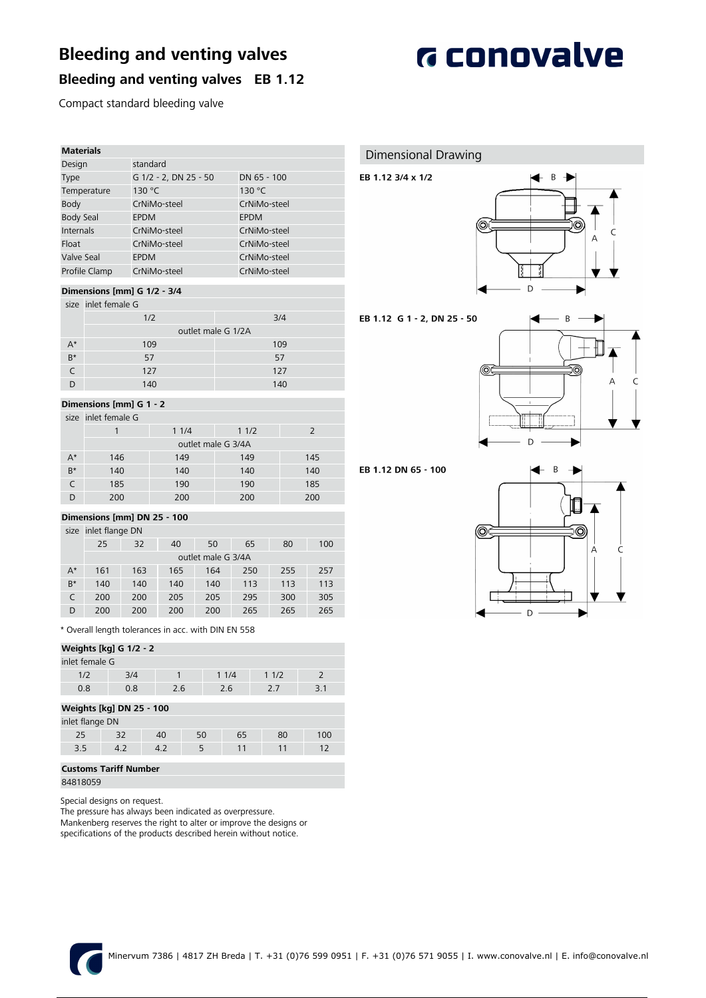# **Bleeding and venting valves**



## **Bleeding and venting valves EB 1.12**

Compact standard bleeding valve

| <b>Materials</b> |                       |              |
|------------------|-----------------------|--------------|
| Design           | standard              |              |
| Type             | G 1/2 - 2, DN 25 - 50 | DN 65 - 100  |
| Temperature      | 130 °C                | 130 °C       |
| Body             | CrNiMo-steel          | CrNiMo-steel |
| <b>Body Seal</b> | <b>EPDM</b>           | <b>EPDM</b>  |
| Internals        | CrNiMo-steel          | CrNiMo-steel |
| Float            | CrNiMo-steel          | CrNiMo-steel |
| Valve Seal       | <b>EPDM</b>           | CrNiMo-steel |
| Profile Clamp    | CrNiMo-steel          | CrNiMo-steel |

#### **Dimensions [mm] G 1/2 - 3/4**

|       | size inlet female G |                    |
|-------|---------------------|--------------------|
|       | 1/2                 | 3/4                |
|       |                     | outlet male G 1/2A |
| $A^*$ | 109                 | 109                |
| $B^*$ | 57                  | 57                 |
|       | 127                 | 127                |
|       | 140                 | 140                |

#### **Dimensions [mm] G 1 - 2**

#### size inlet female G

|           |     | 11/4               | 11/2 |     |
|-----------|-----|--------------------|------|-----|
|           |     | outlet male G 3/4A |      |     |
| $A^*$     | 146 | 149                | 149  | 145 |
| $B^*$     | 140 | 140                | 140  | 140 |
| $\subset$ | 185 | 190                | 190  | 185 |
|           | 200 | 200                | 200  | 200 |

#### **Dimensions [mm] DN 25 - 100**

|       | size inlet flange DN |     |     |                    |     |     |     |
|-------|----------------------|-----|-----|--------------------|-----|-----|-----|
|       | 25                   | 32  | 40  | 50                 | 65  | 80  | 100 |
|       |                      |     |     | outlet male G 3/4A |     |     |     |
| $A^*$ | 161                  | 163 | 165 | 164                | 250 | 255 | 257 |
| $B^*$ | 140                  | 140 | 140 | 140                | 113 | 113 | 113 |
|       | 200                  | 200 | 205 | 205                | 295 | 300 | 305 |
| D     | 200                  | 200 | 200 | 200                | 265 | 265 | 265 |

\* Overall length tolerances in acc. with DIN EN 558

| Weights [kg] G 1/2 - 2          |                |     |    |  |      |      |  |     |
|---------------------------------|----------------|-----|----|--|------|------|--|-----|
|                                 | inlet female G |     |    |  |      |      |  |     |
| 1/2                             | 3/4            | 1   |    |  | 11/4 | 11/2 |  | 2   |
| 0.8                             | 0.8            | 2.6 |    |  | 2.6  | 2.7  |  | 3.1 |
| <b>Weights [kg] DN 25 - 100</b> |                |     |    |  |      |      |  |     |
| inlet flange DN                 |                |     |    |  |      |      |  |     |
| 25                              | 32             | 40  | 50 |  | 65   | 80   |  | 100 |
| 3.5                             | 4.2            | 4.2 | 5  |  | 11   | 11   |  | 12  |
|                                 |                |     |    |  |      |      |  |     |

#### **Customs Tariff Number**

84818059

Special designs on request.

The pressure has always been indicated as overpressure.

Mankenberg reserves the right to alter or improve the designs or

specifications of the products described herein without notice.

#### Dimensional Drawing

### EB 1.12 3/4 x 1/2



#### EB 1.12 G 1 - 2, DN 25 - 50



#### EB 1.12 DN 65 - 100